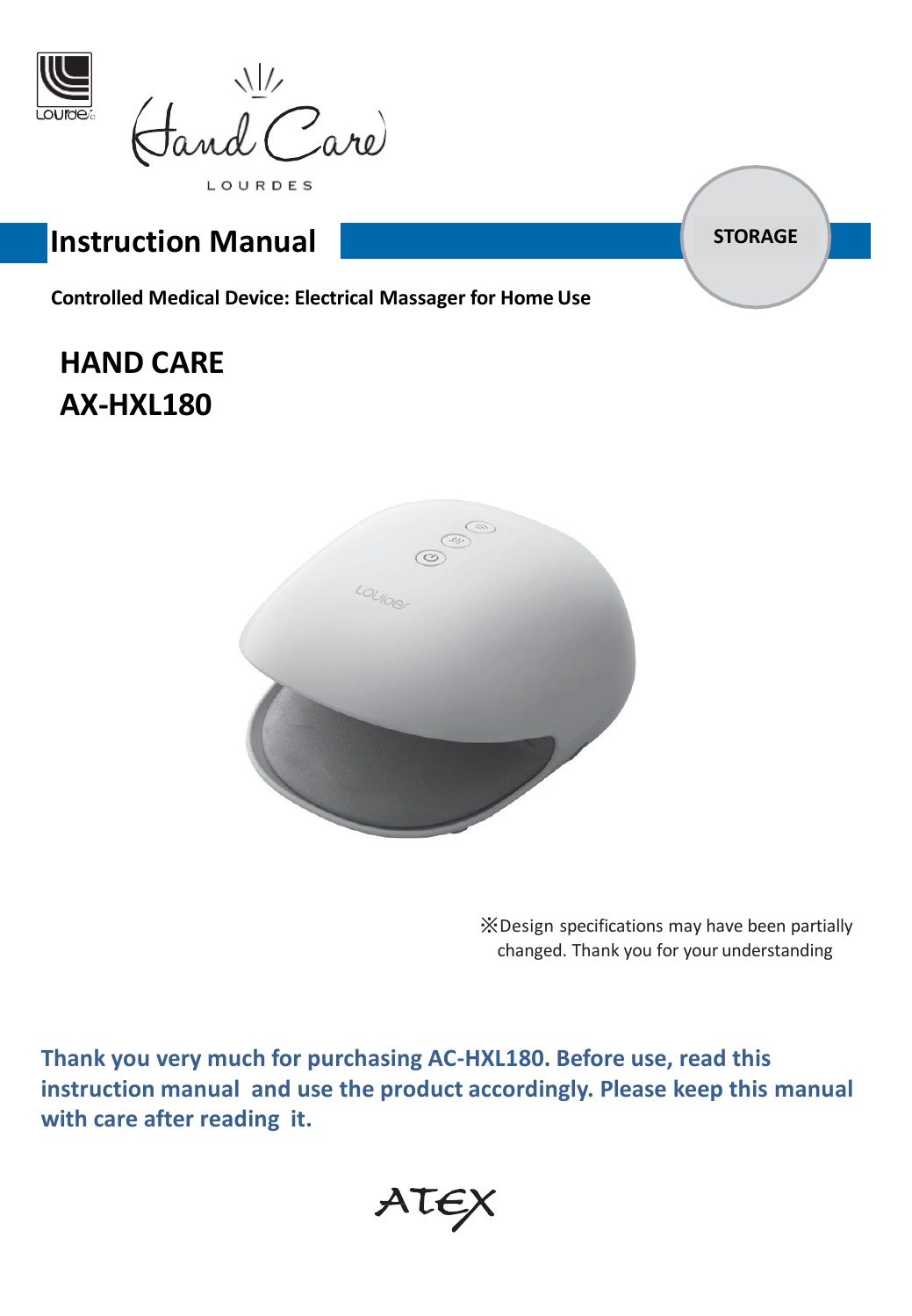

 $\frac{1}{\sqrt{2}}$  are

LOURDES

# **Instruction Manual** *STORAGE*

**Controlled Medical Device: Electrical Massager for Home Use**

# **HAND CARE AX-HXL180**



※Design specifications may have been partially changed. Thank you for your understanding

**Thank you very much for purchasing AC-HXL180. Before use, read this instruction manual and use the product accordingly. Please keep this manual with care after reading it.**

ATEX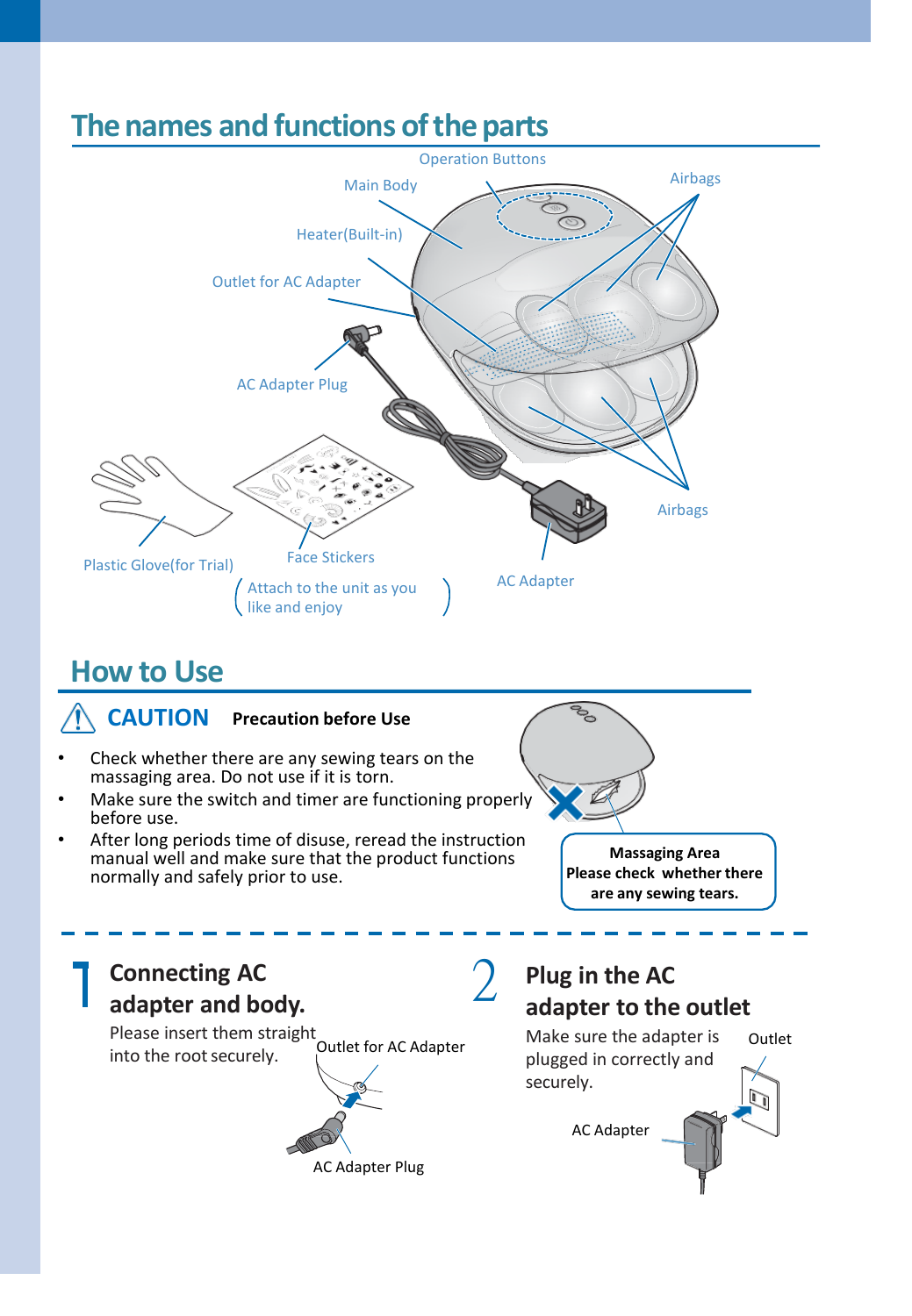

# **How to Use**



2 **Connecting AC adapter and body.** Please insert them straight into the rootsecurely. Outlet for AC Adapter AC Adapter Plug securely.

## **Plug in the AC adapter to the outlet**

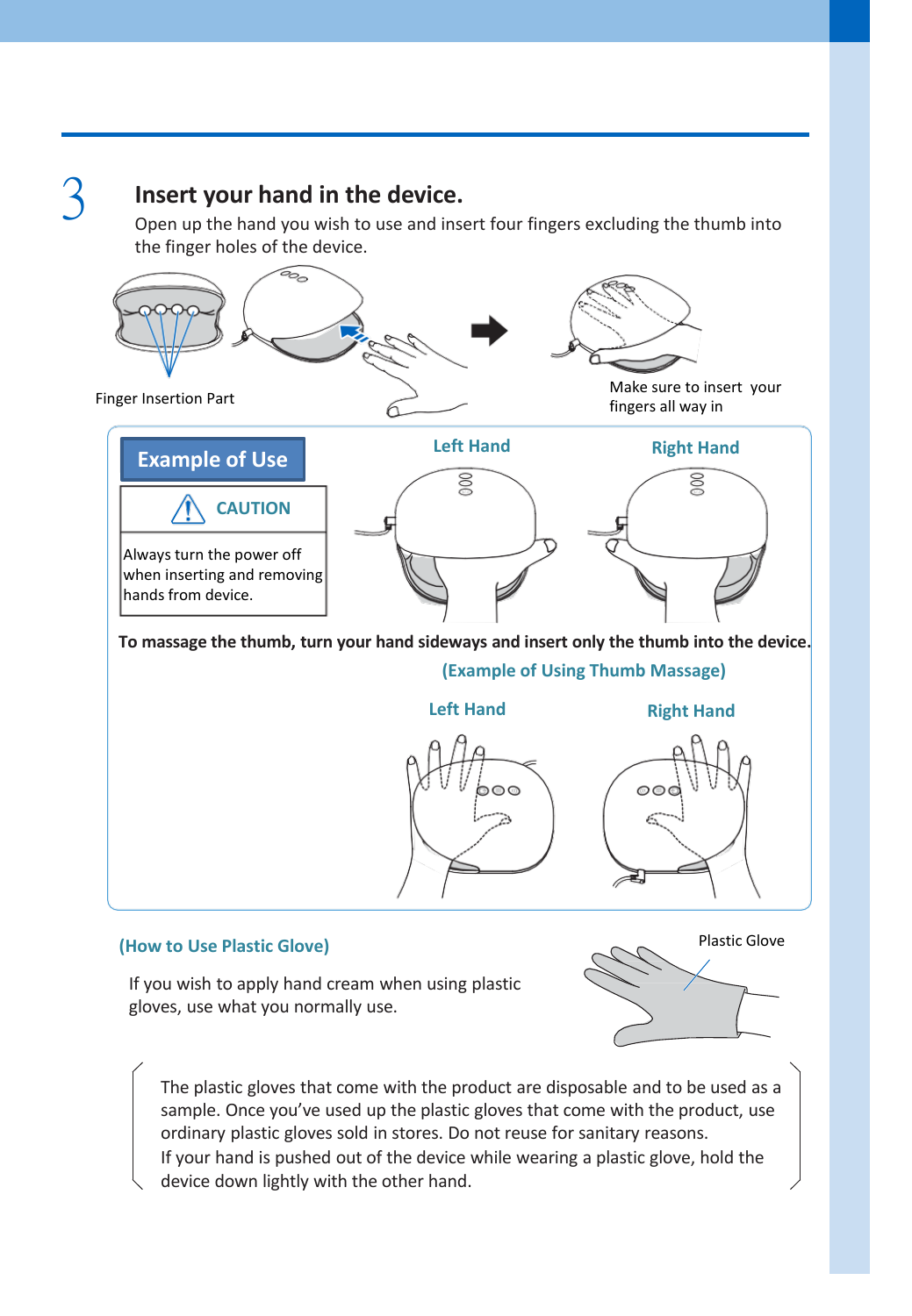## 3 **Insert your hand in the device.**

Open up the hand you wish to use and insert four fingers excluding the thumb into the finger holes of the device.



### **(How to Use Plastic Glove)**

Plastic Glove

If you wish to apply hand cream when using plastic gloves, use what you normally use.

The plastic gloves that come with the product are disposable and to be used as a sample. Once you've used up the plastic gloves that come with the product, use ordinary plastic gloves sold in stores. Do not reuse for sanitary reasons. If your hand is pushed out of the device while wearing a plastic glove, hold the device down lightly with the other hand.